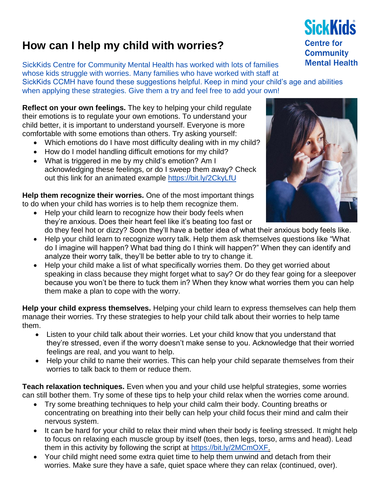## **How can I help my child with worries?**

SickKids Centre for Community Mental Health has worked with lots of families whose kids struggle with worries. Many families who have worked with staff at SickKids CCMH have found these suggestions helpful. Keep in mind your child's age and abilities when applying these strategies. Give them a try and feel free to add your own!

**Reflect on your own feelings.** The key to helping your child regulate their emotions is to regulate your own emotions. To understand your child better, it is important to understand yourself. Everyone is more comfortable with some emotions than others. Try asking yourself:

- Which emotions do I have most difficulty dealing with in my child?
- How do I model handling difficult emotions for my child?
- What is triggered in me by my child's emotion? Am I acknowledging these feelings, or do I sweep them away? Check out this link for an animated example <https://bit.ly/2CkyLfU>

**Help them recognize their worries.** One of the most important things to do when your child has worries is to help them recognize them.

- Help your child learn to recognize how their body feels when they're anxious. Does their heart feel like it's beating too fast or do they feel hot or dizzy? Soon they'll have a better idea of what their anxious body feels like.
- Help your child learn to recognize worry talk. Help them ask themselves questions like "What do I imagine will happen? What bad thing do I think will happen?" When they can identify and analyze their worry talk, they'll be better able to try to change it.
- Help your child make a list of what specifically worries them. Do they get worried about speaking in class because they might forget what to say? Or do they fear going for a sleepover because you won't be there to tuck them in? When they know what worries them you can help them make a plan to cope with the worry.

**Help your child express themselves.** Helping your child learn to express themselves can help them manage their worries. Try these strategies to help your child talk about their worries to help tame them.

- Listen to your child talk about their worries. Let your child know that you understand that they're stressed, even if the worry doesn't make sense to you. Acknowledge that their worried feelings are real, and you want to help.
- Help your child to name their worries. This can help your child separate themselves from their worries to talk back to them or reduce them.

**Teach relaxation techniques.** Even when you and your child use helpful strategies, some worries can still bother them. Try some of these tips to help your child relax when the worries come around.

- Try some breathing techniques to help your child calm their body. Counting breaths or concentrating on breathing into their belly can help your child focus their mind and calm their nervous system.
- It can be hard for your child to relax their mind when their body is feeling stressed. It might help to focus on relaxing each muscle group by itself (toes, then legs, torso, arms and head). Lead them in this activity by following the script at [https://bit.ly/2MCmOXF.](https://bit.ly/2MCmOXF)
- Your child might need some extra quiet time to help them unwind and detach from their worries. Make sure they have a safe, quiet space where they can relax (continued, over).



**SickKids Centre for Community Mental Health**